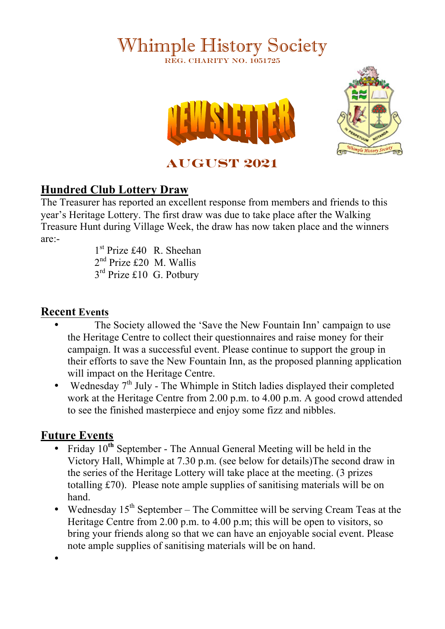# Whimple History Society REG. CHARITY NO. 1051725





**AUGUST 2021**

## **Hundred Club Lottery Draw**

The Treasurer has reported an excellent response from members and friends to this year's Heritage Lottery. The first draw was due to take place after the Walking Treasure Hunt during Village Week, the draw has now taken place and the winners are:-

1<sup>st</sup> Prize £40 R. Sheehan 2nd Prize £20 M. Wallis 3<sup>rd</sup> Prize £10 G. Potbury

### **Recent Events**

- The Society allowed the 'Save the New Fountain Inn' campaign to use the Heritage Centre to collect their questionnaires and raise money for their campaign. It was a successful event. Please continue to support the group in their efforts to save the New Fountain Inn, as the proposed planning application will impact on the Heritage Centre.
- Wednesday  $7<sup>th</sup>$  July The Whimple in Stitch ladies displayed their completed work at the Heritage Centre from 2.00 p.m. to 4.00 p.m. A good crowd attended to see the finished masterpiece and enjoy some fizz and nibbles.

## **Future Events**

•

- Friday 10**th** September The Annual General Meeting will be held in the Victory Hall, Whimple at 7.30 p.m. (see below for details)The second draw in the series of the Heritage Lottery will take place at the meeting. (3 prizes totalling £70). Please note ample supplies of sanitising materials will be on hand.
- Wednesday  $15<sup>th</sup>$  September The Committee will be serving Cream Teas at the Heritage Centre from 2.00 p.m. to 4.00 p.m; this will be open to visitors, so bring your friends along so that we can have an enjoyable social event. Please note ample supplies of sanitising materials will be on hand.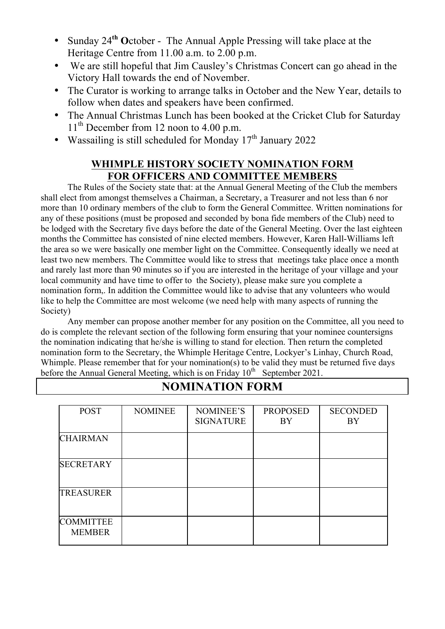- Sunday 24**th O**ctober The Annual Apple Pressing will take place at the Heritage Centre from 11.00 a.m. to 2.00 p.m.
- We are still hopeful that Jim Causley's Christmas Concert can go ahead in the Victory Hall towards the end of November.
- The Curator is working to arrange talks in October and the New Year, details to follow when dates and speakers have been confirmed.
- The Annual Christmas Lunch has been booked at the Cricket Club for Saturday 11<sup>th</sup> December from 12 noon to 4.00 p.m.
- Wassailing is still scheduled for Monday  $17<sup>th</sup>$  January 2022

#### **WHIMPLE HISTORY SOCIETY NOMINATION FORM FOR OFFICERS AND COMMITTEE MEMBERS**

The Rules of the Society state that: at the Annual General Meeting of the Club the members shall elect from amongst themselves a Chairman, a Secretary, a Treasurer and not less than 6 nor more than 10 ordinary members of the club to form the General Committee. Written nominations for any of these positions (must be proposed and seconded by bona fide members of the Club) need to be lodged with the Secretary five days before the date of the General Meeting. Over the last eighteen months the Committee has consisted of nine elected members. However, Karen Hall-Williams left the area so we were basically one member light on the Committee. Consequently ideally we need at least two new members. The Committee would like to stress that meetings take place once a month and rarely last more than 90 minutes so if you are interested in the heritage of your village and your local community and have time to offer to the Society), please make sure you complete a nomination form,. In addition the Committee would like to advise that any volunteers who would like to help the Committee are most welcome (we need help with many aspects of running the Society)

Any member can propose another member for any position on the Committee, all you need to do is complete the relevant section of the following form ensuring that your nominee countersigns the nomination indicating that he/she is willing to stand for election. Then return the completed nomination form to the Secretary, the Whimple Heritage Centre, Lockyer's Linhay, Church Road, Whimple. Please remember that for your nomination(s) to be valid they must be returned five days before the Annual General Meeting, which is on Friday  $10^{th}$  September 2021.

| <b>POST</b>                       | <b>NOMINEE</b> | NOMINEE'S<br><b>SIGNATURE</b> | <b>PROPOSED</b><br>BY | <b>SECONDED</b><br>BY |
|-----------------------------------|----------------|-------------------------------|-----------------------|-----------------------|
| <b>CHAIRMAN</b>                   |                |                               |                       |                       |
| <b>SECRETARY</b>                  |                |                               |                       |                       |
| <b>TREASURER</b>                  |                |                               |                       |                       |
| <b>COMMITTEE</b><br><b>MEMBER</b> |                |                               |                       |                       |

### **NOMINATION FORM**